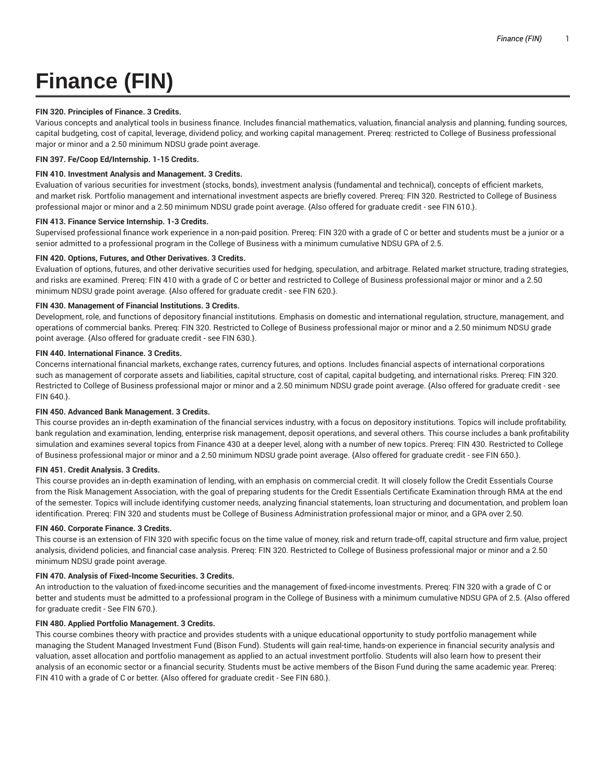# **Finance (FIN)**

# **FIN 320. Principles of Finance. 3 Credits.**

Various concepts and analytical tools in business finance. Includes financial mathematics, valuation, financial analysis and planning, funding sources, capital budgeting, cost of capital, leverage, dividend policy, and working capital management. Prereq: restricted to College of Business professional major or minor and a 2.50 minimum NDSU grade point average.

**FIN 397. Fe/Coop Ed/Internship. 1-15 Credits.**

# **FIN 410. Investment Analysis and Management. 3 Credits.**

Evaluation of various securities for investment (stocks, bonds), investment analysis (fundamental and technical), concepts of efficient markets, and market risk. Portfolio management and international investment aspects are briefly covered. Prereq: FIN 320. Restricted to College of Business professional major or minor and a 2.50 minimum NDSU grade point average. {Also offered for graduate credit - see FIN 610.}.

# **FIN 413. Finance Service Internship. 1-3 Credits.**

Supervised professional finance work experience in a non-paid position. Prereq: FIN 320 with a grade of C or better and students must be a junior or a senior admitted to a professional program in the College of Business with a minimum cumulative NDSU GPA of 2.5.

# **FIN 420. Options, Futures, and Other Derivatives. 3 Credits.**

Evaluation of options, futures, and other derivative securities used for hedging, speculation, and arbitrage. Related market structure, trading strategies, and risks are examined. Prereq: FIN 410 with a grade of C or better and restricted to College of Business professional major or minor and a 2.50 minimum NDSU grade point average. {Also offered for graduate credit - see FIN 620.}.

# **FIN 430. Management of Financial Institutions. 3 Credits.**

Development, role, and functions of depository financial institutions. Emphasis on domestic and international regulation, structure, management, and operations of commercial banks. Prereq: FIN 320. Restricted to College of Business professional major or minor and a 2.50 minimum NDSU grade point average. {Also offered for graduate credit - see FIN 630.}.

# **FIN 440. International Finance. 3 Credits.**

Concerns international financial markets, exchange rates, currency futures, and options. Includes financial aspects of international corporations such as management of corporate assets and liabilities, capital structure, cost of capital, capital budgeting, and international risks. Prereq: FIN 320. Restricted to College of Business professional major or minor and a 2.50 minimum NDSU grade point average. {Also offered for graduate credit - see FIN 640.}.

# **FIN 450. Advanced Bank Management. 3 Credits.**

This course provides an in-depth examination of the financial services industry, with a focus on depository institutions. Topics will include profitability, bank regulation and examination, lending, enterprise risk management, deposit operations, and several others. This course includes a bank profitability simulation and examines several topics from Finance 430 at a deeper level, along with a number of new topics. Prereq: FIN 430. Restricted to College of Business professional major or minor and a 2.50 minimum NDSU grade point average. {Also offered for graduate credit - see FIN 650.}.

# **FIN 451. Credit Analysis. 3 Credits.**

This course provides an in-depth examination of lending, with an emphasis on commercial credit. It will closely follow the Credit Essentials Course from the Risk Management Association, with the goal of preparing students for the Credit Essentials Certificate Examination through RMA at the end of the semester. Topics will include identifying customer needs, analyzing financial statements, loan structuring and documentation, and problem loan identification. Prereq: FIN 320 and students must be College of Business Administration professional major or minor, and a GPA over 2.50.

# **FIN 460. Corporate Finance. 3 Credits.**

This course is an extension of FIN 320 with specific focus on the time value of money, risk and return trade-off, capital structure and firm value, project analysis, dividend policies, and financial case analysis. Prereq: FIN 320. Restricted to College of Business professional major or minor and a 2.50 minimum NDSU grade point average.

# **FIN 470. Analysis of Fixed-Income Securities. 3 Credits.**

An introduction to the valuation of fixed-income securities and the management of fixed-income investments. Prereq: FIN 320 with a grade of C or better and students must be admitted to a professional program in the College of Business with a minimum cumulative NDSU GPA of 2.5. {Also offered for graduate credit - See FIN 670.}.

# **FIN 480. Applied Portfolio Management. 3 Credits.**

This course combines theory with practice and provides students with a unique educational opportunity to study portfolio management while managing the Student Managed Investment Fund (Bison Fund). Students will gain real-time, hands-on experience in financial security analysis and valuation, asset allocation and portfolio management as applied to an actual investment portfolio. Students will also learn how to present their analysis of an economic sector or a financial security. Students must be active members of the Bison Fund during the same academic year. Prereq: FIN 410 with a grade of C or better. {Also offered for graduate credit - See FIN 680.}.